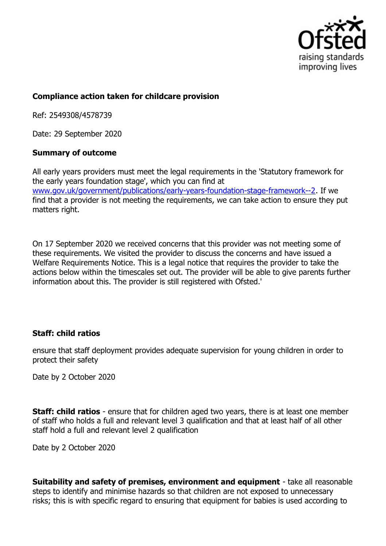

# **Compliance action taken for childcare provision**

Ref: 2549308/4578739

Date: 29 September 2020

# **Summary of outcome**

All early years providers must meet the legal requirements in the 'Statutory framework for the early years foundation stage', which you can find at www.gov.uk/government/publications/early-years-foundation-stage-framework--2. If we find that a provider is not meeting the requirements, we can take action to ensure they put matters right.

On 17 September 2020 we received concerns that this provider was not meeting some of these requirements. We visited the provider to discuss the concerns and have issued a Welfare Requirements Notice. This is a legal notice that requires the provider to take the actions below within the timescales set out. The provider will be able to give parents further information about this. The provider is still registered with Ofsted.'

# **Staff: child ratios**

ensure that staff deployment provides adequate supervision for young children in order to protect their safety

Date by 2 October 2020

**Staff: child ratios** - ensure that for children aged two years, there is at least one member of staff who holds a full and relevant level 3 qualification and that at least half of all other staff hold a full and relevant level 2 qualification

Date by 2 October 2020

**Suitability and safety of premises, environment and equipment** - take all reasonable steps to identify and minimise hazards so that children are not exposed to unnecessary risks; this is with specific regard to ensuring that equipment for babies is used according to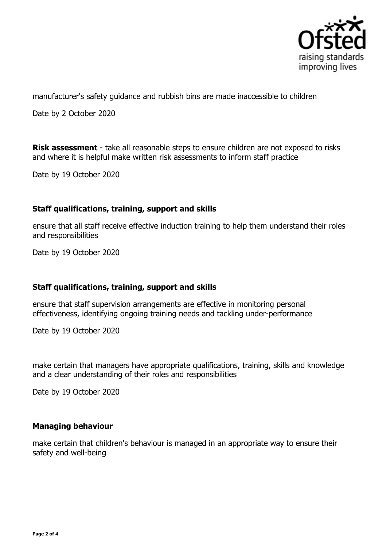

manufacturer's safety guidance and rubbish bins are made inaccessible to children

Date by 2 October 2020

**Risk assessment** - take all reasonable steps to ensure children are not exposed to risks and where it is helpful make written risk assessments to inform staff practice

Date by 19 October 2020

### **Staff qualifications, training, support and skills**

ensure that all staff receive effective induction training to help them understand their roles and responsibilities

Date by 19 October 2020

# **Staff qualifications, training, support and skills**

ensure that staff supervision arrangements are effective in monitoring personal effectiveness, identifying ongoing training needs and tackling under-performance

Date by 19 October 2020

make certain that managers have appropriate qualifications, training, skills and knowledge and a clear understanding of their roles and responsibilities

Date by 19 October 2020

### **Managing behaviour**

make certain that children's behaviour is managed in an appropriate way to ensure their safety and well-being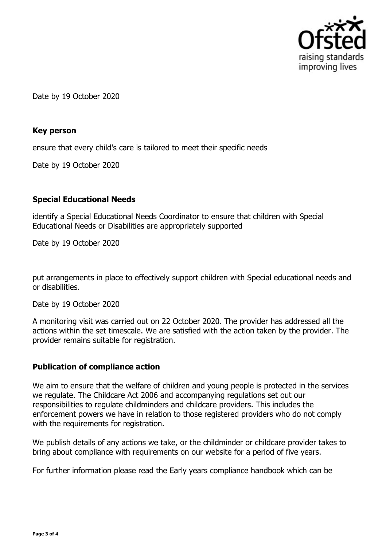

Date by 19 October 2020

### **Key person**

ensure that every child's care is tailored to meet their specific needs

Date by 19 October 2020

# **Special Educational Needs**

identify a Special Educational Needs Coordinator to ensure that children with Special Educational Needs or Disabilities are appropriately supported

Date by 19 October 2020

put arrangements in place to effectively support children with Special educational needs and or disabilities.

Date by 19 October 2020

A monitoring visit was carried out on 22 October 2020. The provider has addressed all the actions within the set timescale. We are satisfied with the action taken by the provider. The provider remains suitable for registration.

# **Publication of compliance action**

We aim to ensure that the welfare of children and young people is protected in the services we regulate. The Childcare Act 2006 and accompanying regulations set out our responsibilities to regulate childminders and childcare providers. This includes the enforcement powers we have in relation to those registered providers who do not comply with the requirements for registration.

We publish details of any actions we take, or the childminder or childcare provider takes to bring about compliance with requirements on our website for a period of five years.

For further information please read the Early years compliance handbook which can be